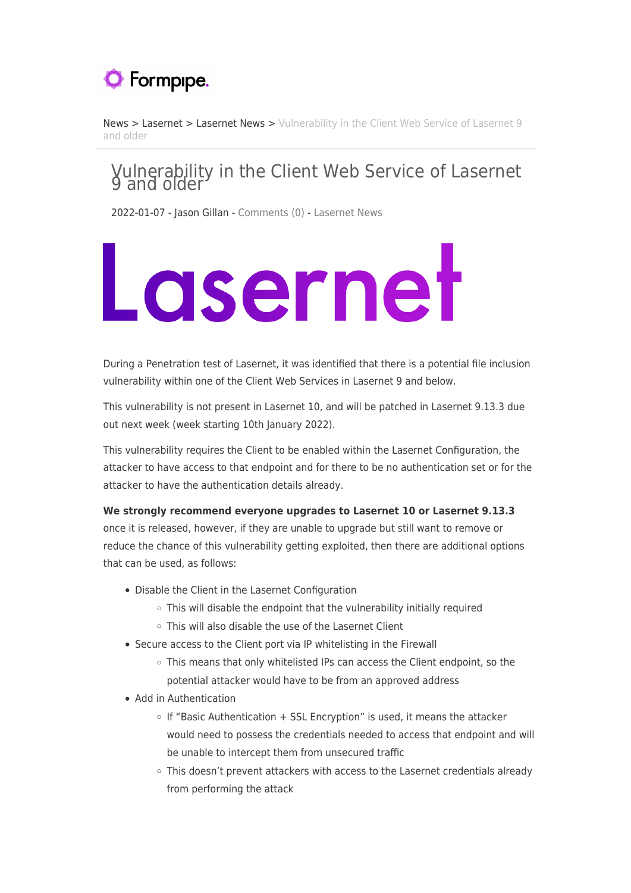

[News](https://support.formpipe.com/news) > [Lasernet](https://support.formpipe.com/news/lasernet) > [Lasernet News](https://support.formpipe.com/news/lasernet-news) > [Vulnerability in the Client Web Service of Lasernet 9](https://support.formpipe.com/news/posts/vulnerability-in-the-client-web-service-of-lasernet-9-and-older) [and older](https://support.formpipe.com/news/posts/vulnerability-in-the-client-web-service-of-lasernet-9-and-older)

## Vulnerability in the Client Web Service of Lasernet 9 and older

2022-01-07 - Jason Gillan - [Comments \(0\)](#page--1-0) - [Lasernet News](https://support.formpipe.com/news/lasernet-news)

## Lasernet

During a Penetration test of Lasernet, it was identified that there is a potential file inclusion vulnerability within one of the Client Web Services in Lasernet 9 and below.

This vulnerability is not present in Lasernet 10, and will be patched in Lasernet 9.13.3 due out next week (week starting 10th January 2022).

This vulnerability requires the Client to be enabled within the Lasernet Configuration, the attacker to have access to that endpoint and for there to be no authentication set or for the attacker to have the authentication details already.

## **We strongly recommend everyone upgrades to Lasernet 10 or Lasernet 9.13.3**

once it is released, however, if they are unable to upgrade but still want to remove or reduce the chance of this vulnerability getting exploited, then there are additional options that can be used, as follows:

- Disable the Client in the Lasernet Configuration
	- $\circ$  This will disable the endpoint that the vulnerability initially required
	- This will also disable the use of the Lasernet Client
- Secure access to the Client port via IP whitelisting in the Firewall
	- This means that only whitelisted IPs can access the Client endpoint, so the potential attacker would have to be from an approved address
- Add in Authentication
	- $\circ$  If "Basic Authentication + SSL Encryption" is used, it means the attacker would need to possess the credentials needed to access that endpoint and will be unable to intercept them from unsecured traffic
	- o This doesn't prevent attackers with access to the Lasernet credentials already from performing the attack